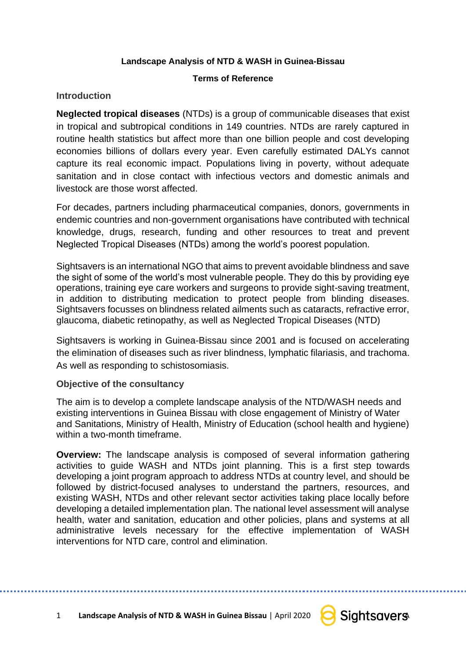### **Landscape Analysis of NTD & WASH in Guinea-Bissau**

### **Terms of Reference**

## **Introduction**

**Neglected tropical diseases** (NTDs) is a group of communicable diseases that exist in tropical and subtropical conditions in 149 countries. NTDs are rarely captured in routine health statistics but affect more than one billion people and cost developing economies billions of dollars every year. Even carefully estimated DALYs cannot capture its real economic impact. Populations living in poverty, without adequate sanitation and in close contact with infectious vectors and domestic animals and livestock are those worst affected.

For decades, partners including pharmaceutical companies, donors, governments in endemic countries and non-government organisations have contributed with technical knowledge, drugs, research, funding and other resources to treat and prevent Neglected Tropical Diseases (NTDs) among the world's poorest population.

Sightsavers is an international NGO that aims to prevent avoidable blindness and save the sight of some of the world's most vulnerable people. They do this by providing eye operations, training eye care workers and surgeons to provide sight-saving treatment, in addition to distributing medication to protect people from blinding diseases. Sightsavers focusses on blindness related ailments such as cataracts, refractive error, glaucoma, diabetic retinopathy, as well as Neglected Tropical Diseases (NTD)

Sightsavers is working in Guinea-Bissau since 2001 and is focused on accelerating the elimination of diseases such as river blindness, lymphatic filariasis, and trachoma. As well as responding to schistosomiasis.

## **Objective of the consultancy**

The aim is to develop a complete landscape analysis of the NTD/WASH needs and existing interventions in Guinea Bissau with close engagement of Ministry of Water and Sanitations, Ministry of Health, Ministry of Education (school health and hygiene) within a two-month timeframe.

**Overview:** The landscape analysis is composed of several information gathering activities to guide WASH and NTDs joint planning. This is a first step towards developing a joint program approach to address NTDs at country level, and should be followed by district-focused analyses to understand the partners, resources, and existing WASH, NTDs and other relevant sector activities taking place locally before developing a detailed implementation plan. The national level assessment will analyse health, water and sanitation, education and other policies, plans and systems at all administrative levels necessary for the effective implementation of WASH interventions for NTD care, control and elimination.

1 **Landscape Analysis of NTD & WASH in Guinea Bissau** | April 2020 **C** Sightsqvers

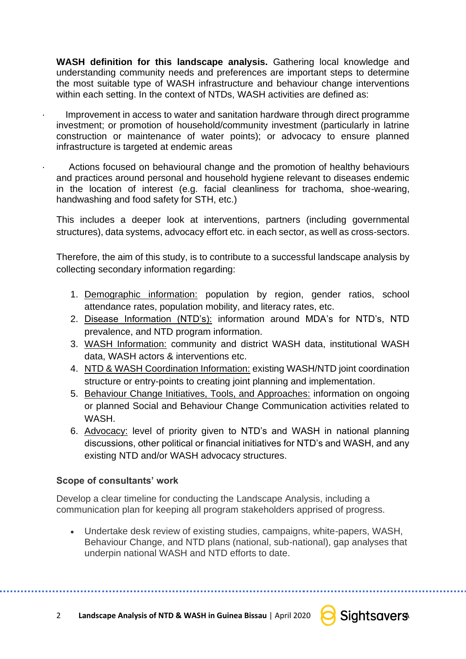**WASH definition for this landscape analysis.** Gathering local knowledge and understanding community needs and preferences are important steps to determine the most suitable type of WASH infrastructure and behaviour change interventions within each setting. In the context of NTDs, WASH activities are defined as:

Improvement in access to water and sanitation hardware through direct programme investment; or promotion of household/community investment (particularly in latrine construction or maintenance of water points); or advocacy to ensure planned infrastructure is targeted at endemic areas

Actions focused on behavioural change and the promotion of healthy behaviours and practices around personal and household hygiene relevant to diseases endemic in the location of interest (e.g. facial cleanliness for trachoma, shoe-wearing, handwashing and food safety for STH, etc.)

This includes a deeper look at interventions, partners (including governmental structures), data systems, advocacy effort etc. in each sector, as well as cross-sectors.

Therefore, the aim of this study, is to contribute to a successful landscape analysis by collecting secondary information regarding:

- 1. Demographic information: population by region, gender ratios, school attendance rates, population mobility, and literacy rates, etc.
- 2. Disease Information (NTD's): information around MDA's for NTD's, NTD prevalence, and NTD program information.
- 3. WASH Information: community and district WASH data, institutional WASH data, WASH actors & interventions etc.
- 4. NTD & WASH Coordination Information: existing WASH/NTD joint coordination structure or entry-points to creating joint planning and implementation.
- 5. Behaviour Change Initiatives, Tools, and Approaches: information on ongoing or planned Social and Behaviour Change Communication activities related to WASH.
- 6. Advocacy: level of priority given to NTD's and WASH in national planning discussions, other political or financial initiatives for NTD's and WASH, and any existing NTD and/or WASH advocacy structures.

# **Scope of consultants' work**

Develop a clear timeline for conducting the Landscape Analysis, including a communication plan for keeping all program stakeholders apprised of progress.

• Undertake desk review of existing studies, campaigns, white-papers, WASH, Behaviour Change, and NTD plans (national, sub-national), gap analyses that underpin national WASH and NTD efforts to date.

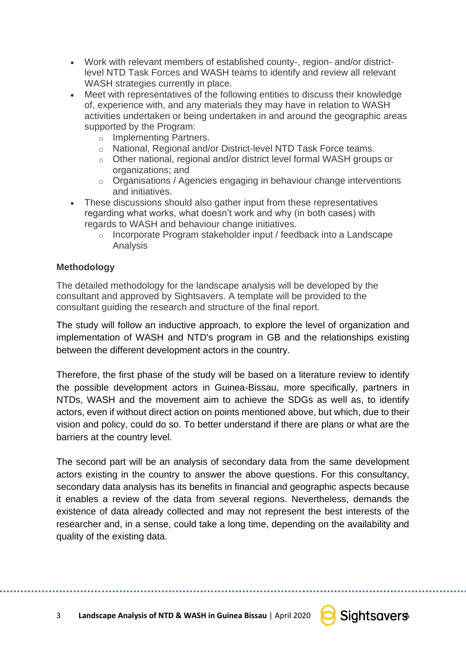- Work with relevant members of established county-, region- and/or districtlevel NTD Task Forces and WASH teams to identify and review all relevant WASH strategies currently in place.
- Meet with representatives of the following entities to discuss their knowledge of, experience with, and any materials they may have in relation to WASH activities undertaken or being undertaken in and around the geographic areas supported by the Program:
	- o Implementing Partners.
	- o National, Regional and/or District-level NTD Task Force teams.
	- o Other national, regional and/or district level formal WASH groups or organizations; and
	- o Organisations / Agencies engaging in behaviour change interventions and initiatives.
- These discussions should also gather input from these representatives regarding what works, what doesn't work and why (in both cases) with regards to WASH and behaviour change initiatives.
	- o Incorporate Program stakeholder input / feedback into a Landscape Analysis

# **Methodology**

The detailed methodology for the landscape analysis will be developed by the consultant and approved by Sightsavers. A template will be provided to the consultant guiding the research and structure of the final report.

The study will follow an inductive approach, to explore the level of organization and implementation of WASH and NTD's program in GB and the relationships existing between the different development actors in the country.

Therefore, the first phase of the study will be based on a literature review to identify the possible development actors in Guinea-Bissau, more specifically, partners in NTDs, WASH and the movement aim to achieve the SDGs as well as, to identify actors, even if without direct action on points mentioned above, but which, due to their vision and policy, could do so. To better understand if there are plans or what are the barriers at the country level.

The second part will be an analysis of secondary data from the same development actors existing in the country to answer the above questions. For this consultancy, secondary data analysis has its benefits in financial and geographic aspects because it enables a review of the data from several regions. Nevertheless, demands the existence of data already collected and may not represent the best interests of the researcher and, in a sense, could take a long time, depending on the availability and quality of the existing data.